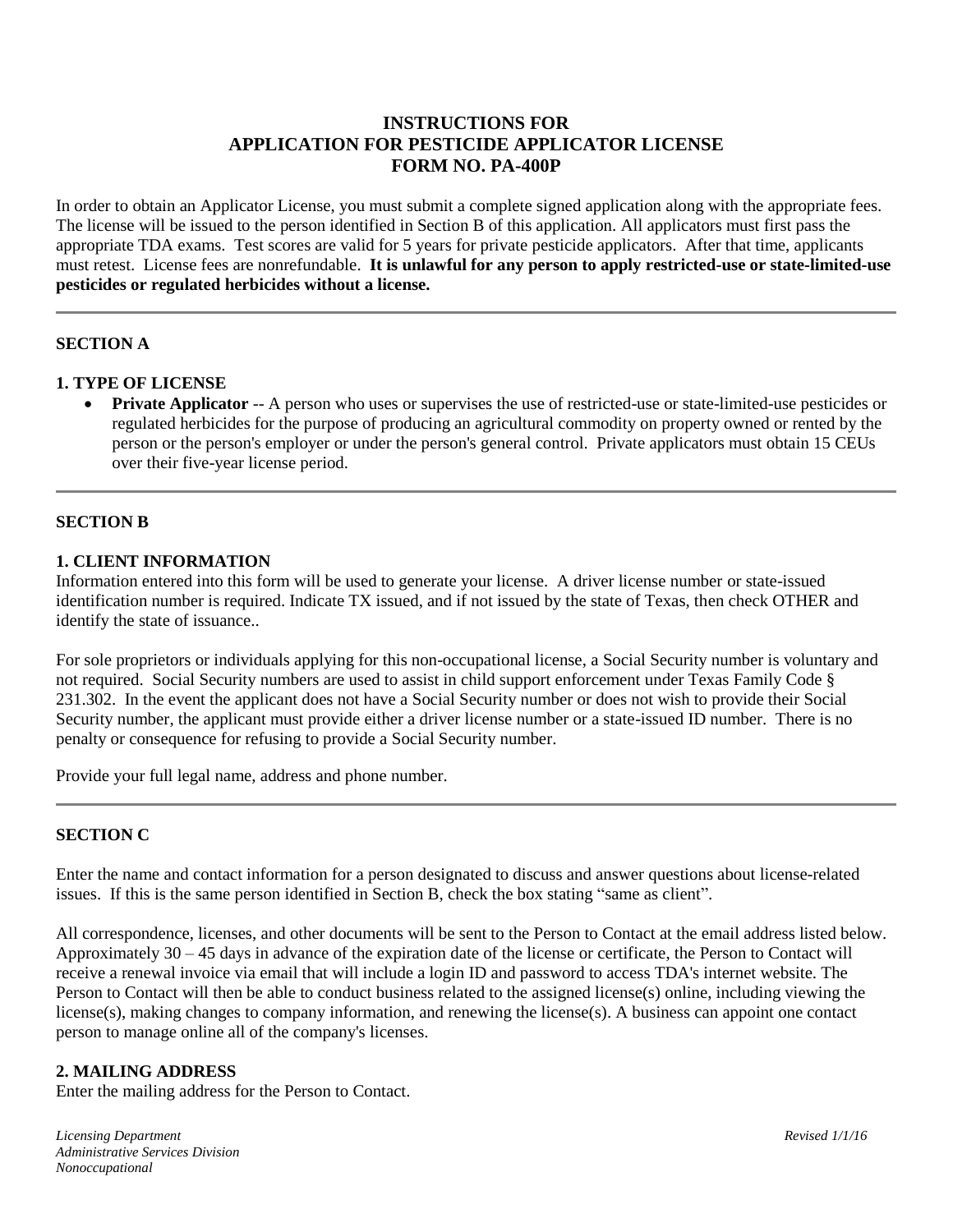# **INSTRUCTIONS FOR APPLICATION FOR PESTICIDE APPLICATOR LICENSE FORM NO. PA-400P**

In order to obtain an Applicator License, you must submit a complete signed application along with the appropriate fees. The license will be issued to the person identified in Section B of this application. All applicators must first pass the appropriate TDA exams. Test scores are valid for 5 years for private pesticide applicators. After that time, applicants must retest. License fees are nonrefundable. **It is unlawful for any person to apply restricted-use or state-limited-use pesticides or regulated herbicides without a license.**

### **SECTION A**

### **1. TYPE OF LICENSE**

**Private Applicator** -- A person who uses or supervises the use of restricted-use or state-limited-use pesticides or regulated herbicides for the purpose of producing an agricultural commodity on property owned or rented by the person or the person's employer or under the person's general control. Private applicators must obtain 15 CEUs over their five-year license period.

### **SECTION B**

# **1. CLIENT INFORMATION**

Information entered into this form will be used to generate your license. A driver license number or state-issued identification number is required. Indicate TX issued, and if not issued by the state of Texas, then check OTHER and identify the state of issuance..

For sole proprietors or individuals applying for this non-occupational license, a Social Security number is voluntary and not required. Social Security numbers are used to assist in child support enforcement under Texas Family Code § 231.302. In the event the applicant does not have a Social Security number or does not wish to provide their Social Security number, the applicant must provide either a driver license number or a state-issued ID number. There is no penalty or consequence for refusing to provide a Social Security number.

Provide your full legal name, address and phone number.

### **SECTION C**

Enter the name and contact information for a person designated to discuss and answer questions about license-related issues. If this is the same person identified in Section B, check the box stating "same as client".

All correspondence, licenses, and other documents will be sent to the Person to Contact at the email address listed below. Approximately 30 – 45 days in advance of the expiration date of the license or certificate, the Person to Contact will receive a renewal invoice via email that will include a login ID and password to access TDA's internet website. The Person to Contact will then be able to conduct business related to the assigned license(s) online, including viewing the license(s), making changes to company information, and renewing the license(s). A business can appoint one contact person to manage online all of the company's licenses.

#### **2. MAILING ADDRESS**

Enter the mailing address for the Person to Contact.

*Licensing Department Revised 1/1/16 Administrative Services Division Nonoccupational*